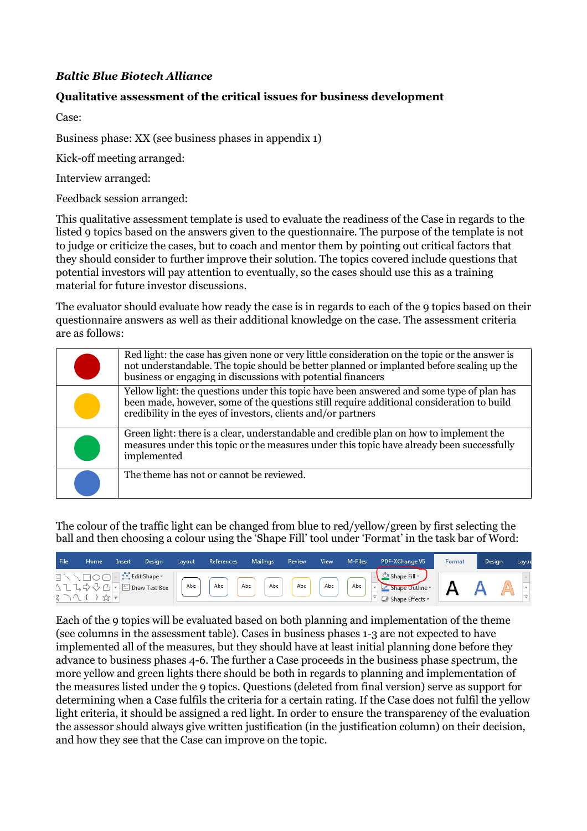## *Baltic Blue Biotech Alliance*

## **Qualitative assessment of the critical issues for business development**

Case:

Business phase: XX (see business phases in appendix 1)

Kick-off meeting arranged:

Interview arranged:

Feedback session arranged:

This qualitative assessment template is used to evaluate the readiness of the Case in regards to the listed 9 topics based on the answers given to the questionnaire. The purpose of the template is not to judge or criticize the cases, but to coach and mentor them by pointing out critical factors that they should consider to further improve their solution. The topics covered include questions that potential investors will pay attention to eventually, so the cases should use this as a training material for future investor discussions.

The evaluator should evaluate how ready the case is in regards to each of the 9 topics based on their questionnaire answers as well as their additional knowledge on the case. The assessment criteria are as follows:

| Red light: the case has given none or very little consideration on the topic or the answer is<br>not understandable. The topic should be better planned or implanted before scaling up the<br>business or engaging in discussions with potential financers |
|------------------------------------------------------------------------------------------------------------------------------------------------------------------------------------------------------------------------------------------------------------|
| Yellow light: the questions under this topic have been answered and some type of plan has<br>been made, however, some of the questions still require additional consideration to build<br>credibility in the eyes of investors, clients and/or partners    |
| Green light: there is a clear, understandable and credible plan on how to implement the<br>measures under this topic or the measures under this topic have already been successfully<br>implemented                                                        |
| The theme has not or cannot be reviewed.                                                                                                                                                                                                                   |

The colour of the traffic light can be changed from blue to red/yellow/green by first selecting the ball and then choosing a colour using the 'Shape Fill' tool under 'Format' in the task bar of Word:

| File | Home         | Insert | Desian                                                          | Lavout | References | <b>Mailings</b>                       | Review       | View | M-Files | PDF-XChange V6                                               | Format | Design | Layou |
|------|--------------|--------|-----------------------------------------------------------------|--------|------------|---------------------------------------|--------------|------|---------|--------------------------------------------------------------|--------|--------|-------|
|      | るつへ { }☆   7 |        | ヨ \ \ □ ○ □   -   : '' Edit Shape ▼ \<br>△ユユウ少△「■Draw Text Box」 | Abc    | Abc        | $\left[$ Abc $\right]$<br>$'$ Abc $ $ | $\left($ Abc | Abc. | Abc     | Shape Fill -<br>Shape Outline<br>$\Box$ Shape Effects $\sim$ |        |        |       |

Each of the 9 topics will be evaluated based on both planning and implementation of the theme (see columns in the assessment table). Cases in business phases 1-3 are not expected to have implemented all of the measures, but they should have at least initial planning done before they advance to business phases 4-6. The further a Case proceeds in the business phase spectrum, the more yellow and green lights there should be both in regards to planning and implementation of the measures listed under the 9 topics. Questions (deleted from final version) serve as support for determining when a Case fulfils the criteria for a certain rating. If the Case does not fulfil the yellow light criteria, it should be assigned a red light. In order to ensure the transparency of the evaluation the assessor should always give written justification (in the justification column) on their decision, and how they see that the Case can improve on the topic.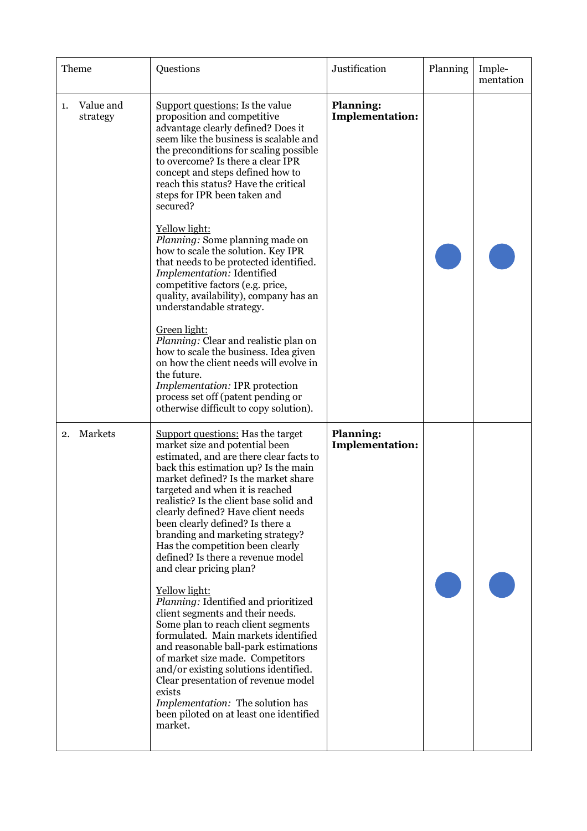| Theme                       | Questions                                                                                                                                                                                                                                                                                                                                                                                                                                                                                                                                                                                                                                                                                                                                                                                                                                                                                                                                      | Justification                              | Planning | Imple-<br>mentation |
|-----------------------------|------------------------------------------------------------------------------------------------------------------------------------------------------------------------------------------------------------------------------------------------------------------------------------------------------------------------------------------------------------------------------------------------------------------------------------------------------------------------------------------------------------------------------------------------------------------------------------------------------------------------------------------------------------------------------------------------------------------------------------------------------------------------------------------------------------------------------------------------------------------------------------------------------------------------------------------------|--------------------------------------------|----------|---------------------|
| Value and<br>1.<br>strategy | Support questions: Is the value<br>proposition and competitive<br>advantage clearly defined? Does it<br>seem like the business is scalable and<br>the preconditions for scaling possible<br>to overcome? Is there a clear IPR<br>concept and steps defined how to<br>reach this status? Have the critical<br>steps for IPR been taken and<br>secured?<br>Yellow light:<br>Planning: Some planning made on<br>how to scale the solution. Key IPR<br>that needs to be protected identified.<br>Implementation: Identified<br>competitive factors (e.g. price,<br>quality, availability), company has an<br>understandable strategy.<br>Green light:<br>Planning: Clear and realistic plan on<br>how to scale the business. Idea given<br>on how the client needs will evolve in<br>the future.<br>Implementation: IPR protection<br>process set off (patent pending or<br>otherwise difficult to copy solution).                                 | <b>Planning:</b><br><b>Implementation:</b> |          |                     |
| Markets<br>2.               | <b>Support questions:</b> Has the target<br>market size and potential been<br>estimated, and are there clear facts to<br>back this estimation up? Is the main<br>market defined? Is the market share<br>targeted and when it is reached<br>realistic? Is the client base solid and<br>clearly defined? Have client needs<br>been clearly defined? Is there a<br>branding and marketing strategy?<br>Has the competition been clearly<br>defined? Is there a revenue model<br>and clear pricing plan?<br>Yellow light:<br>Planning: Identified and prioritized<br>client segments and their needs.<br>Some plan to reach client segments<br>formulated. Main markets identified<br>and reasonable ball-park estimations<br>of market size made. Competitors<br>and/or existing solutions identified.<br>Clear presentation of revenue model<br>exists<br>Implementation: The solution has<br>been piloted on at least one identified<br>market. | <b>Planning:</b><br><b>Implementation:</b> |          |                     |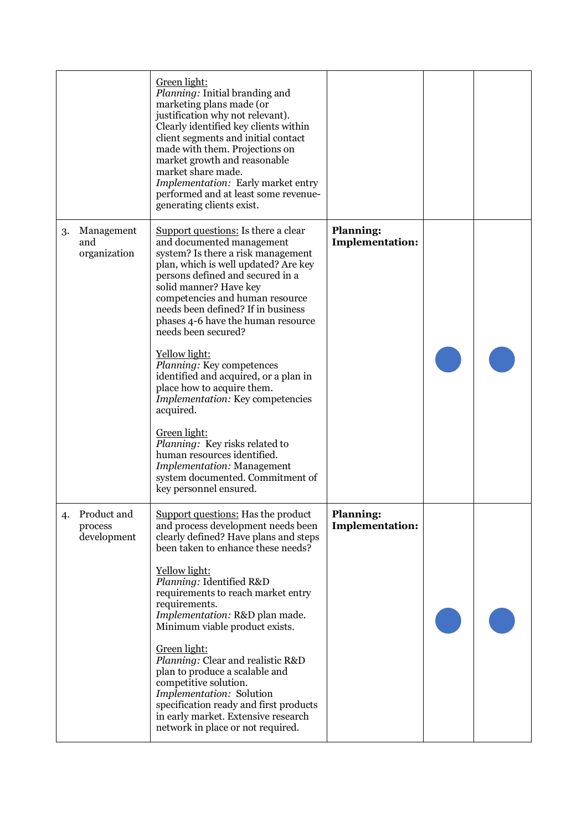|    |                                       | Green light:<br>Planning: Initial branding and<br>marketing plans made (or<br>justification why not relevant).<br>Clearly identified key clients within<br>client segments and initial contact<br>made with them. Projections on<br>market growth and reasonable<br>market share made.<br>Implementation: Early market entry<br>performed and at least some revenue-<br>generating clients exist.                                                                                                                                                                                                                                                                                                            |                                            |  |
|----|---------------------------------------|--------------------------------------------------------------------------------------------------------------------------------------------------------------------------------------------------------------------------------------------------------------------------------------------------------------------------------------------------------------------------------------------------------------------------------------------------------------------------------------------------------------------------------------------------------------------------------------------------------------------------------------------------------------------------------------------------------------|--------------------------------------------|--|
| 3. | Management<br>and<br>organization     | Support questions: Is there a clear<br>and documented management<br>system? Is there a risk management<br>plan, which is well updated? Are key<br>persons defined and secured in a<br>solid manner? Have key<br>competencies and human resource<br>needs been defined? If in business<br>phases 4-6 have the human resource<br>needs been secured?<br>Yellow light:<br>Planning: Key competences<br>identified and acquired, or a plan in<br>place how to acquire them.<br>Implementation: Key competencies<br>acquired.<br>Green light:<br>Planning: Key risks related to<br>human resources identified.<br><b>Implementation: Management</b><br>system documented. Commitment of<br>key personnel ensured. | <b>Planning:</b><br><b>Implementation:</b> |  |
| 4. | Product and<br>process<br>development | Support questions: Has the product<br>and process development needs been<br>clearly defined? Have plans and steps<br>been taken to enhance these needs?<br>Yellow light:<br>Planning: Identified R&D<br>requirements to reach market entry<br>requirements.<br>Implementation: R&D plan made.<br>Minimum viable product exists.<br>Green light:<br>Planning: Clear and realistic R&D<br>plan to produce a scalable and<br>competitive solution.<br>Implementation: Solution<br>specification ready and first products<br>in early market. Extensive research<br>network in place or not required.                                                                                                            | <b>Planning:</b><br><b>Implementation:</b> |  |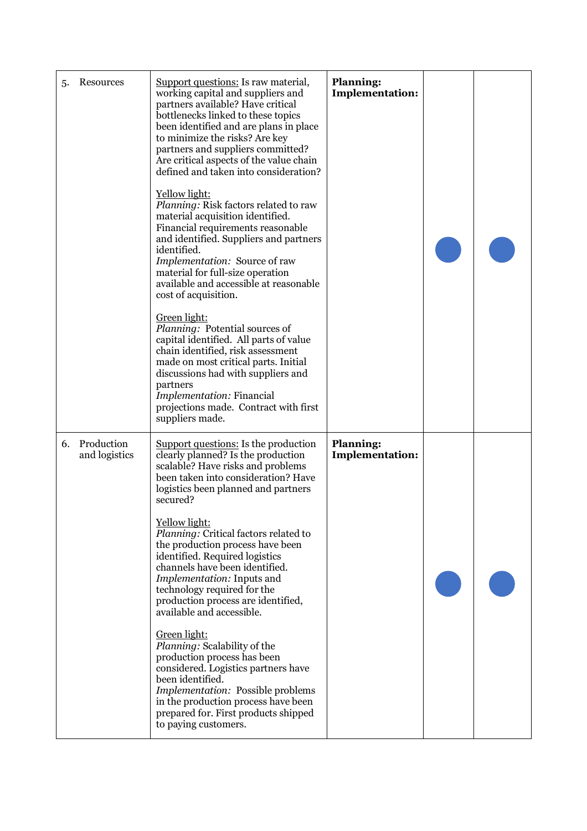| 5. | Resources                   | Support questions: Is raw material,<br>working capital and suppliers and<br>partners available? Have critical<br>bottlenecks linked to these topics<br>been identified and are plans in place<br>to minimize the risks? Are key<br>partners and suppliers committed?<br>Are critical aspects of the value chain<br>defined and taken into consideration?<br>Yellow light:<br>Planning: Risk factors related to raw<br>material acquisition identified.<br>Financial requirements reasonable<br>and identified. Suppliers and partners<br>identified.<br>Implementation: Source of raw<br>material for full-size operation<br>available and accessible at reasonable<br>cost of acquisition.<br>Green light:<br>Planning: Potential sources of<br>capital identified. All parts of value<br>chain identified, risk assessment<br>made on most critical parts. Initial<br>discussions had with suppliers and<br>partners<br>Implementation: Financial<br>projections made. Contract with first<br>suppliers made. | <b>Planning:</b><br><b>Implementation:</b> |  |
|----|-----------------------------|-----------------------------------------------------------------------------------------------------------------------------------------------------------------------------------------------------------------------------------------------------------------------------------------------------------------------------------------------------------------------------------------------------------------------------------------------------------------------------------------------------------------------------------------------------------------------------------------------------------------------------------------------------------------------------------------------------------------------------------------------------------------------------------------------------------------------------------------------------------------------------------------------------------------------------------------------------------------------------------------------------------------|--------------------------------------------|--|
| 6. | Production<br>and logistics | Support questions: Is the production<br>clearly planned? Is the production<br>scalable? Have risks and problems<br>been taken into consideration? Have<br>logistics been planned and partners<br>secured?<br>Yellow light:<br>Planning: Critical factors related to<br>the production process have been<br>identified. Required logistics<br>channels have been identified.<br>Implementation: Inputs and<br>technology required for the<br>production process are identified,<br>available and accessible.<br>Green light:<br>Planning: Scalability of the<br>production process has been<br>considered. Logistics partners have<br>been identified.<br>Implementation: Possible problems<br>in the production process have been<br>prepared for. First products shipped<br>to paying customers.                                                                                                                                                                                                               | <b>Planning:</b><br><b>Implementation:</b> |  |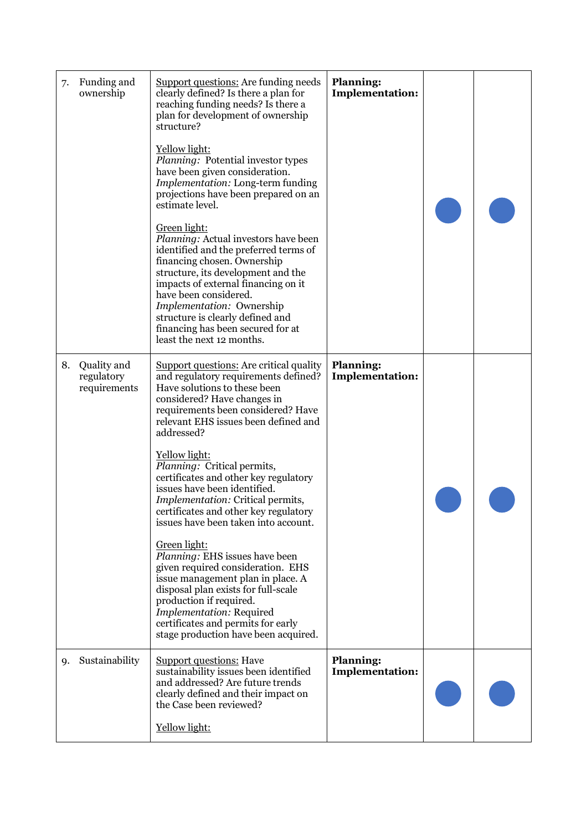| 7. | Funding and<br>ownership                  | <b>Support questions:</b> Are funding needs<br>clearly defined? Is there a plan for<br>reaching funding needs? Is there a<br>plan for development of ownership<br>structure?<br>Yellow light:<br>Planning: Potential investor types<br>have been given consideration.<br>Implementation: Long-term funding<br>projections have been prepared on an<br>estimate level.<br>Green light:<br><i>Planning:</i> Actual investors have been<br>identified and the preferred terms of<br>financing chosen. Ownership<br>structure, its development and the<br>impacts of external financing on it<br>have been considered.<br>Implementation: Ownership<br>structure is clearly defined and<br>financing has been secured for at<br>least the next 12 months.                                                    | <b>Planning:</b><br><b>Implementation:</b> |  |
|----|-------------------------------------------|----------------------------------------------------------------------------------------------------------------------------------------------------------------------------------------------------------------------------------------------------------------------------------------------------------------------------------------------------------------------------------------------------------------------------------------------------------------------------------------------------------------------------------------------------------------------------------------------------------------------------------------------------------------------------------------------------------------------------------------------------------------------------------------------------------|--------------------------------------------|--|
| 8. | Quality and<br>regulatory<br>requirements | <b>Support questions:</b> Are critical quality<br>and regulatory requirements defined?<br>Have solutions to these been<br>considered? Have changes in<br>requirements been considered? Have<br>relevant EHS issues been defined and<br>addressed?<br>Yellow light:<br>Planning: Critical permits,<br>certificates and other key regulatory<br>issues have been identified.<br>Implementation: Critical permits,<br>certificates and other key regulatory<br>issues have been taken into account.<br>Green light:<br>Planning: EHS issues have been<br>given required consideration. EHS<br>issue management plan in place. A<br>disposal plan exists for full-scale<br>production if required.<br>Implementation: Required<br>certificates and permits for early<br>stage production have been acquired. | <b>Planning:</b><br><b>Implementation:</b> |  |
| 9. | Sustainability                            | <b>Support questions: Have</b><br>sustainability issues been identified<br>and addressed? Are future trends<br>clearly defined and their impact on<br>the Case been reviewed?<br>Yellow light:                                                                                                                                                                                                                                                                                                                                                                                                                                                                                                                                                                                                           | <b>Planning:</b><br><b>Implementation:</b> |  |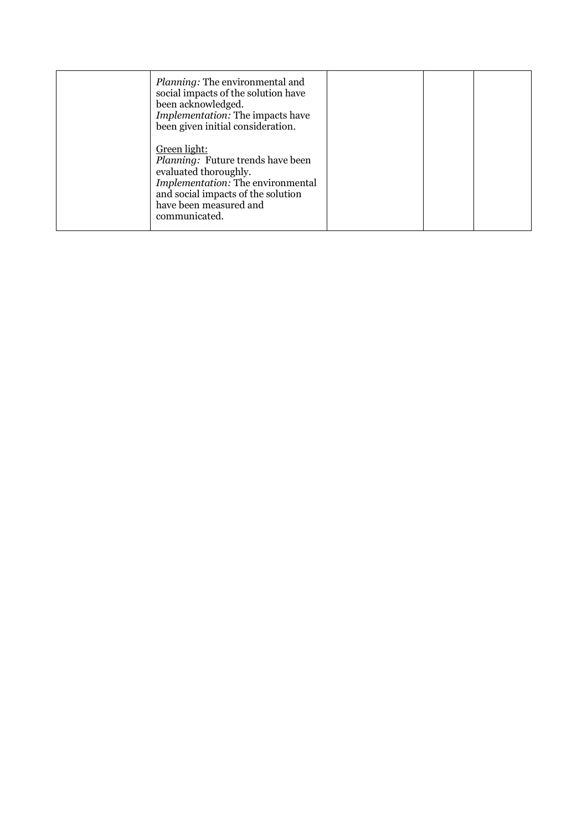| Planning: The environmental and<br>social impacts of the solution have<br>been acknowledged.<br><i>Implementation:</i> The impacts have<br>been given initial consideration.                            |  |  |
|---------------------------------------------------------------------------------------------------------------------------------------------------------------------------------------------------------|--|--|
| Green light:<br><i>Planning:</i> Future trends have been<br>evaluated thoroughly.<br>Implementation: The environmental<br>and social impacts of the solution<br>have been measured and<br>communicated. |  |  |